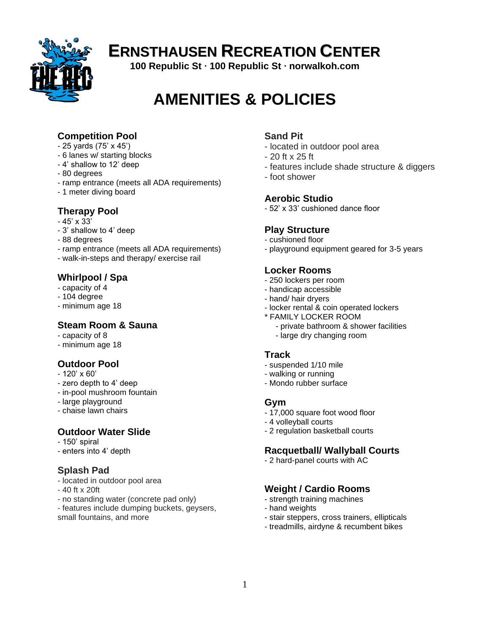

# **ERNSTHAUSEN RECREATION CENTER**

**100 Republic St ∙ 100 Republic St ∙ norwalkoh.com**

# **AMENITIES & POLICIES**

### **Competition Pool**

- 25 yards (75' x 45')
- 6 lanes w/ starting blocks
- 4' shallow to 12' deep
- 80 degrees
- ramp entrance (meets all ADA requirements)
- 1 meter diving board

### **Therapy Pool**

- $-45' \times 33'$
- 3' shallow to 4' deep
- 88 degrees
- ramp entrance (meets all ADA requirements)
- walk-in-steps and therapy/ exercise rail

### **Whirlpool / Spa**

- capacity of 4
- 104 degree
- minimum age 18

### **Steam Room & Sauna**

- capacity of 8
- minimum age 18

### **Outdoor Pool**

- $-120'$  x 60'
- zero depth to 4' deep
- in-pool mushroom fountain
- large playground
- chaise lawn chairs

### **Outdoor Water Slide**

- 150' spiral
- enters into 4' depth

### **Splash Pad**

- located in outdoor pool area
- 40 ft x 20ft
- no standing water (concrete pad only)
- features include dumping buckets, geysers, small fountains, and more

### **Sand Pit**

- located in outdoor pool area
- 20 ft x 25 ft
- features include shade structure & diggers
- foot shower

### **Aerobic Studio**

- 52' x 33' cushioned dance floor

### **Play Structure**

- cushioned floor
- playground equipment geared for 3-5 years

### **Locker Rooms**

- 250 lockers per room
- handicap accessible
- hand/ hair dryers
- locker rental & coin operated lockers
- \* FAMILY LOCKER ROOM
	- private bathroom & shower facilities
	- large dry changing room

### **Track**

- suspended 1/10 mile
- walking or running
- Mondo rubber surface

### **Gym**

- 17,000 square foot wood floor
- 4 volleyball courts
- 2 regulation basketball courts

### **Racquetball/ Wallyball Courts**

- 2 hard-panel courts with AC

### **Weight / Cardio Rooms**

- strength training machines
- hand weights
- stair steppers, cross trainers, ellipticals
- treadmills, airdyne & recumbent bikes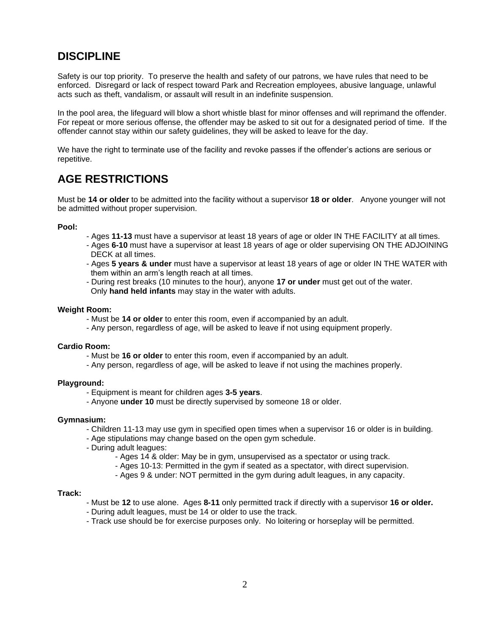# **DISCIPLINE**

Safety is our top priority. To preserve the health and safety of our patrons, we have rules that need to be enforced. Disregard or lack of respect toward Park and Recreation employees, abusive language, unlawful acts such as theft, vandalism, or assault will result in an indefinite suspension.

In the pool area, the lifeguard will blow a short whistle blast for minor offenses and will reprimand the offender. For repeat or more serious offense, the offender may be asked to sit out for a designated period of time. If the offender cannot stay within our safety guidelines, they will be asked to leave for the day.

We have the right to terminate use of the facility and revoke passes if the offender's actions are serious or repetitive.

## **AGE RESTRICTIONS**

Must be **14 or older** to be admitted into the facility without a supervisor **18 or older**. Anyone younger will not be admitted without proper supervision.

#### **Pool:**

- Ages **11-13** must have a supervisor at least 18 years of age or older IN THE FACILITY at all times.
- Ages **6-10** must have a supervisor at least 18 years of age or older supervising ON THE ADJOINING DECK at all times.
- Ages **5 years & under** must have a supervisor at least 18 years of age or older IN THE WATER with them within an arm's length reach at all times.
- During rest breaks (10 minutes to the hour), anyone **17 or under** must get out of the water. Only **hand held infants** may stay in the water with adults.

#### **Weight Room:**

- Must be **14 or older** to enter this room, even if accompanied by an adult.
- Any person, regardless of age, will be asked to leave if not using equipment properly.

#### **Cardio Room:**

- Must be **16 or older** to enter this room, even if accompanied by an adult.
- Any person, regardless of age, will be asked to leave if not using the machines properly.

#### **Playground:**

- Equipment is meant for children ages **3-5 years**.
- Anyone **under 10** must be directly supervised by someone 18 or older.

#### **Gymnasium:**

- Children 11-13 may use gym in specified open times when a supervisor 16 or older is in building.
- Age stipulations may change based on the open gym schedule.
- During adult leagues:
	- Ages 14 & older: May be in gym, unsupervised as a spectator or using track.
	- Ages 10-13: Permitted in the gym if seated as a spectator, with direct supervision.
	- Ages 9 & under: NOT permitted in the gym during adult leagues, in any capacity.

#### **Track:**

- Must be **12** to use alone. Ages **8-11** only permitted track if directly with a supervisor **16 or older.**
- During adult leagues, must be 14 or older to use the track.
- Track use should be for exercise purposes only. No loitering or horseplay will be permitted.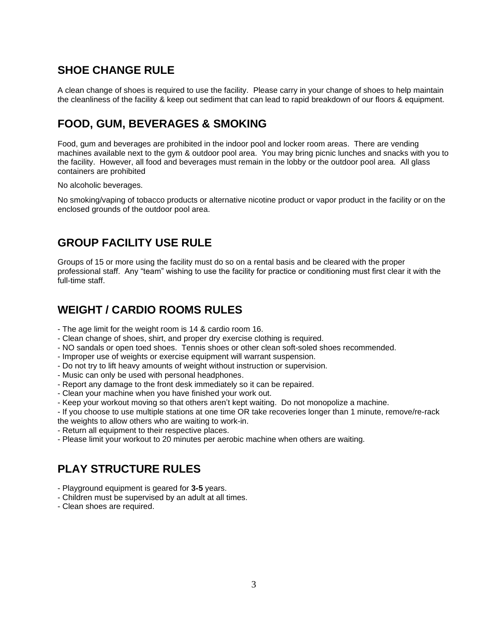### **SHOE CHANGE RULE**

A clean change of shoes is required to use the facility. Please carry in your change of shoes to help maintain the cleanliness of the facility & keep out sediment that can lead to rapid breakdown of our floors & equipment.

# **FOOD, GUM, BEVERAGES & SMOKING**

Food, gum and beverages are prohibited in the indoor pool and locker room areas. There are vending machines available next to the gym & outdoor pool area. You may bring picnic lunches and snacks with you to the facility. However, all food and beverages must remain in the lobby or the outdoor pool area. All glass containers are prohibited

No alcoholic beverages.

No smoking/vaping of tobacco products or alternative nicotine product or vapor product in the facility or on the enclosed grounds of the outdoor pool area.

### **GROUP FACILITY USE RULE**

Groups of 15 or more using the facility must do so on a rental basis and be cleared with the proper professional staff. Any "team" wishing to use the facility for practice or conditioning must first clear it with the full-time staff.

### **WEIGHT / CARDIO ROOMS RULES**

- The age limit for the weight room is 14 & cardio room 16.
- Clean change of shoes, shirt, and proper dry exercise clothing is required.
- NO sandals or open toed shoes. Tennis shoes or other clean soft-soled shoes recommended.
- Improper use of weights or exercise equipment will warrant suspension.
- Do not try to lift heavy amounts of weight without instruction or supervision.
- Music can only be used with personal headphones.
- Report any damage to the front desk immediately so it can be repaired.
- Clean your machine when you have finished your work out.
- Keep your workout moving so that others aren't kept waiting. Do not monopolize a machine.
- If you choose to use multiple stations at one time OR take recoveries longer than 1 minute, remove/re-rack
- the weights to allow others who are waiting to work-in.
- Return all equipment to their respective places.
- Please limit your workout to 20 minutes per aerobic machine when others are waiting.

### **PLAY STRUCTURE RULES**

- Playground equipment is geared for **3-5** years.
- Children must be supervised by an adult at all times.
- Clean shoes are required.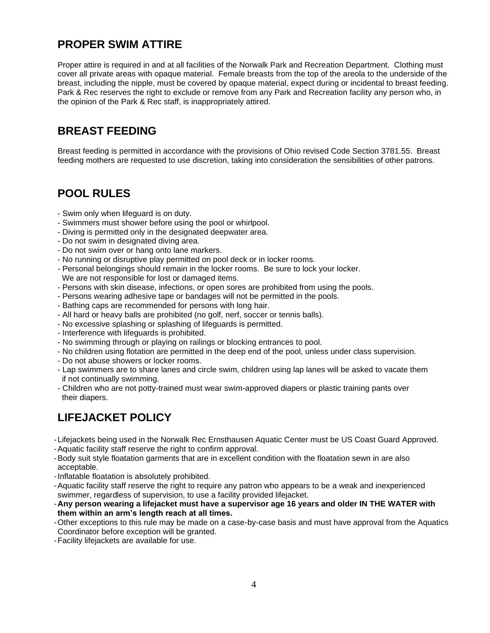# **PROPER SWIM ATTIRE**

Proper attire is required in and at all facilities of the Norwalk Park and Recreation Department. Clothing must cover all private areas with opaque material. Female breasts from the top of the areola to the underside of the breast, including the nipple, must be covered by opaque material, expect during or incidental to breast feeding. Park & Rec reserves the right to exclude or remove from any Park and Recreation facility any person who, in the opinion of the Park & Rec staff, is inappropriately attired.

### **BREAST FEEDING**

Breast feeding is permitted in accordance with the provisions of Ohio revised Code Section 3781.55. Breast feeding mothers are requested to use discretion, taking into consideration the sensibilities of other patrons.

### **POOL RULES**

- Swim only when lifeguard is on duty.
- Swimmers must shower before using the pool or whirlpool.
- Diving is permitted only in the designated deepwater area.
- Do not swim in designated diving area.
- Do not swim over or hang onto lane markers.
- No running or disruptive play permitted on pool deck or in locker rooms.
- Personal belongings should remain in the locker rooms. Be sure to lock your locker.
- We are not responsible for lost or damaged items.
- Persons with skin disease, infections, or open sores are prohibited from using the pools.
- Persons wearing adhesive tape or bandages will not be permitted in the pools.
- Bathing caps are recommended for persons with long hair.
- All hard or heavy balls are prohibited (no golf, nerf, soccer or tennis balls).
- No excessive splashing or splashing of lifeguards is permitted.
- Interference with lifeguards is prohibited.
- No swimming through or playing on railings or blocking entrances to pool.
- No children using flotation are permitted in the deep end of the pool, unless under class supervision.
- Do not abuse showers or locker rooms.
- Lap swimmers are to share lanes and circle swim, children using lap lanes will be asked to vacate them if not continually swimming.
- Children who are not potty-trained must wear swim-approved diapers or plastic training pants over their diapers.

# **LIFEJACKET POLICY**

- -Lifejackets being used in the Norwalk Rec Ernsthausen Aquatic Center must be US Coast Guard Approved. -Aquatic facility staff reserve the right to confirm approval.
- 
- -Body suit style floatation garments that are in excellent condition with the floatation sewn in are also acceptable.
- -Inflatable floatation is absolutely prohibited.
- -Aquatic facility staff reserve the right to require any patron who appears to be a weak and inexperienced swimmer, regardless of supervision, to use a facility provided lifejacket.
- -**Any person wearing a lifejacket must have a supervisor age 16 years and older IN THE WATER with them within an arm's length reach at all times.**
- -Other exceptions to this rule may be made on a case-by-case basis and must have approval from the Aquatics Coordinator before exception will be granted.
- -Facility lifejackets are available for use.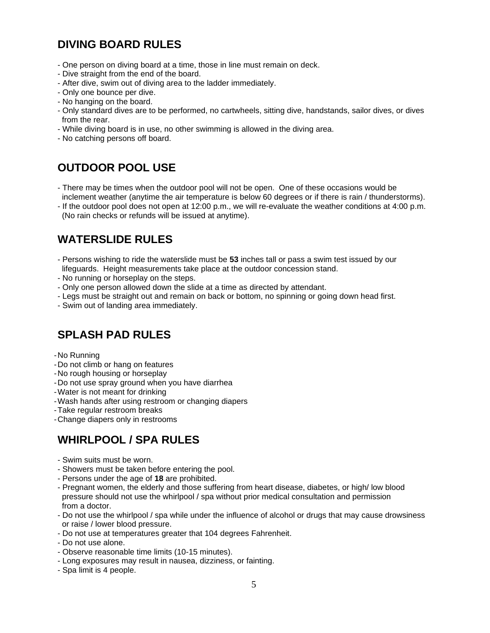# **DIVING BOARD RULES**

- One person on diving board at a time, those in line must remain on deck.
- Dive straight from the end of the board.
- After dive, swim out of diving area to the ladder immediately.
- Only one bounce per dive.
- No hanging on the board.
- Only standard dives are to be performed, no cartwheels, sitting dive, handstands, sailor dives, or dives from the rear.
- While diving board is in use, no other swimming is allowed in the diving area.
- No catching persons off board.

# **OUTDOOR POOL USE**

- There may be times when the outdoor pool will not be open. One of these occasions would be inclement weather (anytime the air temperature is below 60 degrees or if there is rain / thunderstorms).
- If the outdoor pool does not open at 12:00 p.m., we will re-evaluate the weather conditions at 4:00 p.m. (No rain checks or refunds will be issued at anytime).

# **WATERSLIDE RULES**

- Persons wishing to ride the waterslide must be **53** inches tall or pass a swim test issued by our lifeguards. Height measurements take place at the outdoor concession stand.
- No running or horseplay on the steps.
- Only one person allowed down the slide at a time as directed by attendant.
- Legs must be straight out and remain on back or bottom, no spinning or going down head first.
- Swim out of landing area immediately.

# **SPLASH PAD RULES**

- -No Running
- -Do not climb or hang on features
- -No rough housing or horseplay
- -Do not use spray ground when you have diarrhea
- -Water is not meant for drinking
- -Wash hands after using restroom or changing diapers
- -Take regular restroom breaks
- -Change diapers only in restrooms

# **WHIRLPOOL / SPA RULES**

- Swim suits must be worn.
- Showers must be taken before entering the pool.
- Persons under the age of **18** are prohibited.
- Pregnant women, the elderly and those suffering from heart disease, diabetes, or high/ low blood pressure should not use the whirlpool / spa without prior medical consultation and permission from a doctor.
- Do not use the whirlpool / spa while under the influence of alcohol or drugs that may cause drowsiness or raise / lower blood pressure.
- Do not use at temperatures greater that 104 degrees Fahrenheit.
- Do not use alone.
- Observe reasonable time limits (10-15 minutes).
- Long exposures may result in nausea, dizziness, or fainting.
- Spa limit is 4 people.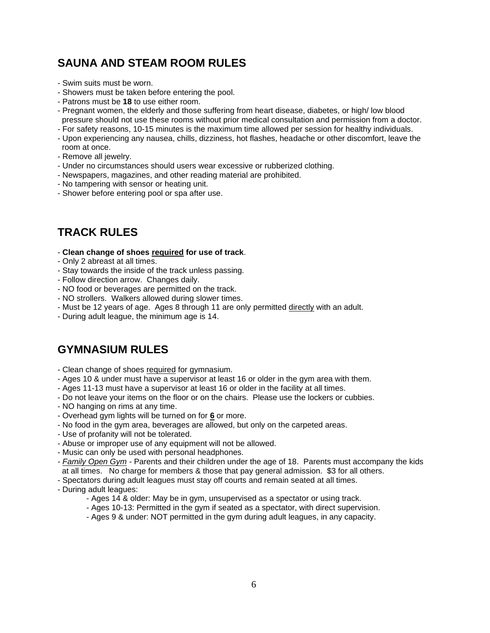# **SAUNA AND STEAM ROOM RULES**

- Swim suits must be worn.
- Showers must be taken before entering the pool.
- Patrons must be **18** to use either room.
- Pregnant women, the elderly and those suffering from heart disease, diabetes, or high/ low blood pressure should not use these rooms without prior medical consultation and permission from a doctor.
- For safety reasons, 10-15 minutes is the maximum time allowed per session for healthy individuals.
- Upon experiencing any nausea, chills, dizziness, hot flashes, headache or other discomfort, leave the room at once.
- Remove all jewelry.
- Under no circumstances should users wear excessive or rubberized clothing.
- Newspapers, magazines, and other reading material are prohibited.
- No tampering with sensor or heating unit.
- Shower before entering pool or spa after use.

### **TRACK RULES**

- **Clean change of shoes required for use of track**.
- Only 2 abreast at all times.
- Stay towards the inside of the track unless passing.
- Follow direction arrow. Changes daily.
- NO food or beverages are permitted on the track.
- NO strollers. Walkers allowed during slower times.
- Must be 12 years of age. Ages 8 through 11 are only permitted directly with an adult.
- During adult league, the minimum age is 14.

### **GYMNASIUM RULES**

- Clean change of shoes required for gymnasium.
- Ages 10 & under must have a supervisor at least 16 or older in the gym area with them.
- Ages 11-13 must have a supervisor at least 16 or older in the facility at all times.
- Do not leave your items on the floor or on the chairs. Please use the lockers or cubbies.
- NO hanging on rims at any time.
- Overhead gym lights will be turned on for **6** or more.
- No food in the gym area, beverages are allowed, but only on the carpeted areas.
- Use of profanity will not be tolerated.
- Abuse or improper use of any equipment will not be allowed.
- Music can only be used with personal headphones.
- *- Family Open Gym -* Parents and their children under the age of 18. Parents must accompany the kids at all times. No charge for members & those that pay general admission. \$3 for all others.
- Spectators during adult leagues must stay off courts and remain seated at all times.
- During adult leagues:
	- Ages 14 & older: May be in gym, unsupervised as a spectator or using track.
	- Ages 10-13: Permitted in the gym if seated as a spectator, with direct supervision.
	- Ages 9 & under: NOT permitted in the gym during adult leagues, in any capacity.